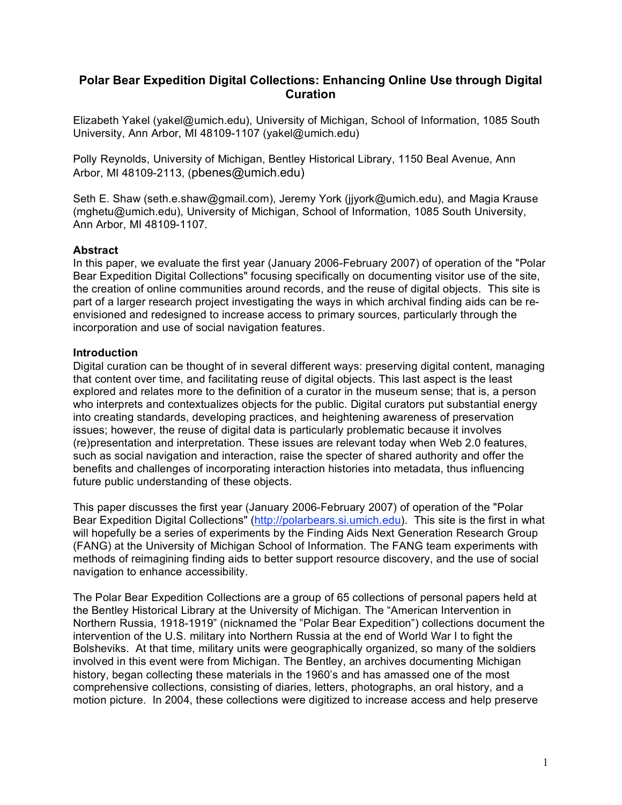# **Polar Bear Expedition Digital Collections: Enhancing Online Use through Digital Curation**

Elizabeth Yakel (yakel@umich.edu), University of Michigan, School of Information, 1085 South University, Ann Arbor, MI 48109-1107 (yakel@umich.edu)

Polly Reynolds, University of Michigan, Bentley Historical Library, 1150 Beal Avenue, Ann Arbor, MI 48109-2113, (pbenes@umich.edu)

Seth E. Shaw (seth.e.shaw@gmail.com), Jeremy York (jjyork@umich.edu), and Magia Krause (mghetu@umich.edu), University of Michigan, School of Information, 1085 South University, Ann Arbor, MI 48109-1107.

## **Abstract**

In this paper, we evaluate the first year (January 2006-February 2007) of operation of the "Polar Bear Expedition Digital Collections" focusing specifically on documenting visitor use of the site, the creation of online communities around records, and the reuse of digital objects. This site is part of a larger research project investigating the ways in which archival finding aids can be reenvisioned and redesigned to increase access to primary sources, particularly through the incorporation and use of social navigation features.

### **Introduction**

Digital curation can be thought of in several different ways: preserving digital content, managing that content over time, and facilitating reuse of digital objects. This last aspect is the least explored and relates more to the definition of a curator in the museum sense; that is, a person who interprets and contextualizes objects for the public. Digital curators put substantial energy into creating standards, developing practices, and heightening awareness of preservation issues; however, the reuse of digital data is particularly problematic because it involves (re)presentation and interpretation. These issues are relevant today when Web 2.0 features, such as social navigation and interaction, raise the specter of shared authority and offer the benefits and challenges of incorporating interaction histories into metadata, thus influencing future public understanding of these objects.

This paper discusses the first year (January 2006-February 2007) of operation of the "Polar Bear Expedition Digital Collections" (http://polarbears.si.umich.edu). This site is the first in what will hopefully be a series of experiments by the Finding Aids Next Generation Research Group (FANG) at the University of Michigan School of Information. The FANG team experiments with methods of reimagining finding aids to better support resource discovery, and the use of social navigation to enhance accessibility.

The Polar Bear Expedition Collections are a group of 65 collections of personal papers held at the Bentley Historical Library at the University of Michigan. The "American Intervention in Northern Russia, 1918-1919" (nicknamed the "Polar Bear Expedition") collections document the intervention of the U.S. military into Northern Russia at the end of World War I to fight the Bolsheviks. At that time, military units were geographically organized, so many of the soldiers involved in this event were from Michigan. The Bentley, an archives documenting Michigan history, began collecting these materials in the 1960's and has amassed one of the most comprehensive collections, consisting of diaries, letters, photographs, an oral history, and a motion picture. In 2004, these collections were digitized to increase access and help preserve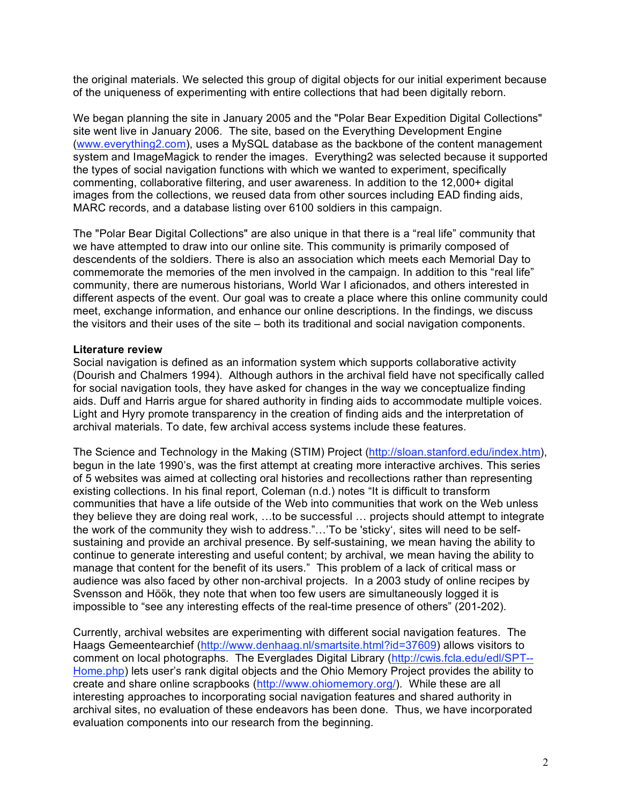the original materials. We selected this group of digital objects for our initial experiment because of the uniqueness of experimenting with entire collections that had been digitally reborn.

We began planning the site in January 2005 and the "Polar Bear Expedition Digital Collections" site went live in January 2006. The site, based on the Everything Development Engine (www.everything2.com), uses a MySQL database as the backbone of the content management system and ImageMagick to render the images. Everything2 was selected because it supported the types of social navigation functions with which we wanted to experiment, specifically commenting, collaborative filtering, and user awareness. In addition to the 12,000+ digital images from the collections, we reused data from other sources including EAD finding aids, MARC records, and a database listing over 6100 soldiers in this campaign.

The "Polar Bear Digital Collections" are also unique in that there is a "real life" community that we have attempted to draw into our online site. This community is primarily composed of descendents of the soldiers. There is also an association which meets each Memorial Day to commemorate the memories of the men involved in the campaign. In addition to this "real life" community, there are numerous historians, World War I aficionados, and others interested in different aspects of the event. Our goal was to create a place where this online community could meet, exchange information, and enhance our online descriptions. In the findings, we discuss the visitors and their uses of the site – both its traditional and social navigation components.

## **Literature review**

Social navigation is defined as an information system which supports collaborative activity (Dourish and Chalmers 1994). Although authors in the archival field have not specifically called for social navigation tools, they have asked for changes in the way we conceptualize finding aids. Duff and Harris argue for shared authority in finding aids to accommodate multiple voices. Light and Hyry promote transparency in the creation of finding aids and the interpretation of archival materials. To date, few archival access systems include these features.

The Science and Technology in the Making (STIM) Project (http://sloan.stanford.edu/index.htm), begun in the late 1990's, was the first attempt at creating more interactive archives. This series of 5 websites was aimed at collecting oral histories and recollections rather than representing existing collections. In his final report, Coleman (n.d.) notes "It is difficult to transform communities that have a life outside of the Web into communities that work on the Web unless they believe they are doing real work, …to be successful … projects should attempt to integrate the work of the community they wish to address."…'To be 'sticky', sites will need to be selfsustaining and provide an archival presence. By self-sustaining, we mean having the ability to continue to generate interesting and useful content; by archival, we mean having the ability to manage that content for the benefit of its users." This problem of a lack of critical mass or audience was also faced by other non-archival projects. In a 2003 study of online recipes by Svensson and Höök, they note that when too few users are simultaneously logged it is impossible to "see any interesting effects of the real-time presence of others" (201-202).

Currently, archival websites are experimenting with different social navigation features. The Haags Gemeentearchief (http://www.denhaag.nl/smartsite.html?id=37609) allows visitors to comment on local photographs. The Everglades Digital Library (http://cwis.fcla.edu/edl/SPT-- Home.php) lets user's rank digital objects and the Ohio Memory Project provides the ability to create and share online scrapbooks (http://www.ohiomemory.org/). While these are all interesting approaches to incorporating social navigation features and shared authority in archival sites, no evaluation of these endeavors has been done. Thus, we have incorporated evaluation components into our research from the beginning.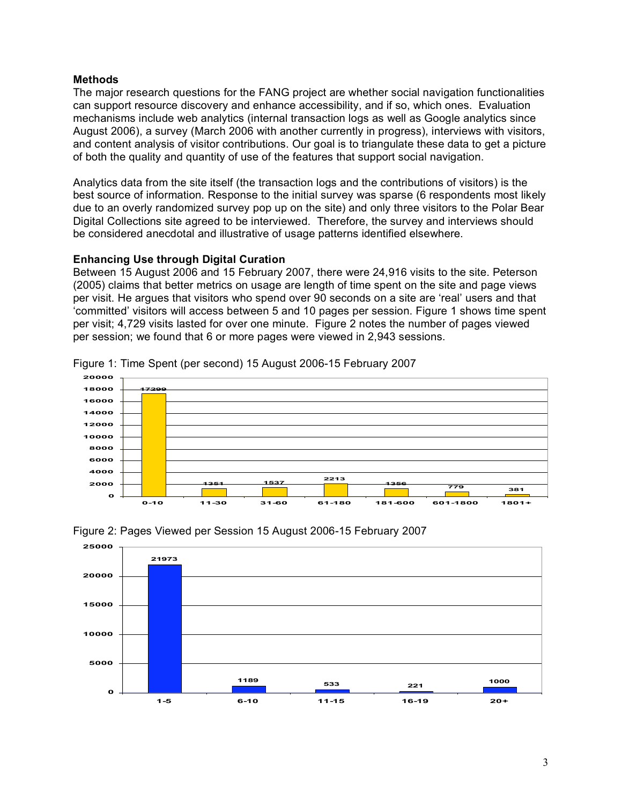## **Methods**

The major research questions for the FANG project are whether social navigation functionalities can support resource discovery and enhance accessibility, and if so, which ones. Evaluation mechanisms include web analytics (internal transaction logs as well as Google analytics since August 2006), a survey (March 2006 with another currently in progress), interviews with visitors, and content analysis of visitor contributions. Our goal is to triangulate these data to get a picture of both the quality and quantity of use of the features that support social navigation.

Analytics data from the site itself (the transaction logs and the contributions of visitors) is the best source of information. Response to the initial survey was sparse (6 respondents most likely due to an overly randomized survey pop up on the site) and only three visitors to the Polar Bear Digital Collections site agreed to be interviewed. Therefore, the survey and interviews should be considered anecdotal and illustrative of usage patterns identified elsewhere.

## **Enhancing Use through Digital Curation**

Between 15 August 2006 and 15 February 2007, there were 24,916 visits to the site. Peterson (2005) claims that better metrics on usage are length of time spent on the site and page views per visit. He argues that visitors who spend over 90 seconds on a site are 'real' users and that 'committed' visitors will access between 5 and 10 pages per session. Figure 1 shows time spent per visit; 4,729 visits lasted for over one minute. Figure 2 notes the number of pages viewed per session; we found that 6 or more pages were viewed in 2,943 sessions.







Figure 1: Time Spent (per second) 15 August 2006-15 February 2007

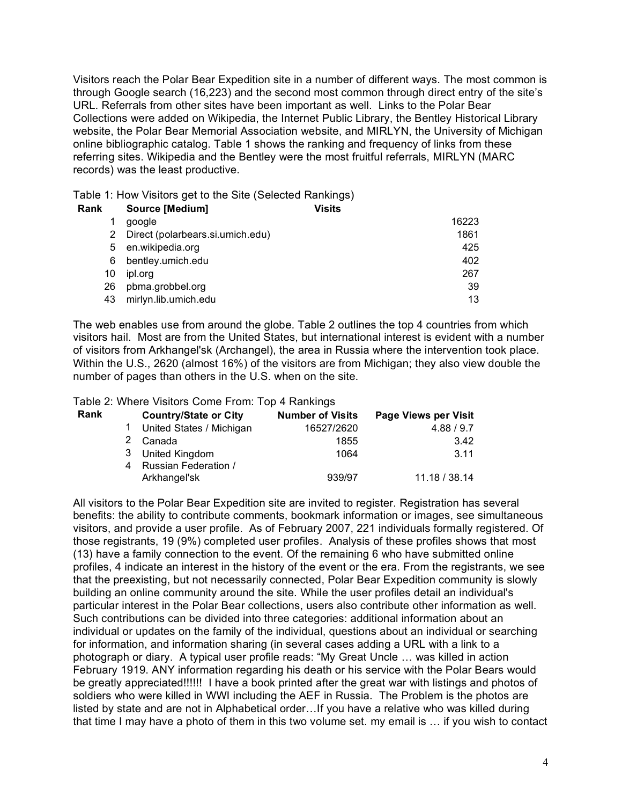Visitors reach the Polar Bear Expedition site in a number of different ways. The most common is through Google search (16,223) and the second most common through direct entry of the site's URL. Referrals from other sites have been important as well. Links to the Polar Bear Collections were added on Wikipedia, the Internet Public Library, the Bentley Historical Library website, the Polar Bear Memorial Association website, and MIRLYN, the University of Michigan online bibliographic catalog. Table 1 shows the ranking and frequency of links from these referring sites. Wikipedia and the Bentley were the most fruitful referrals, MIRLYN (MARC records) was the least productive.

Table 1: How Visitors get to the Site (Selected Rankings)

| Rank | <b>Source [Medium]</b>           | <b>Visits</b> |       |
|------|----------------------------------|---------------|-------|
|      | google                           |               | 16223 |
| 2    | Direct (polarbears.si.umich.edu) |               | 1861  |
| 5    | en.wikipedia.org                 |               | 425   |
| 6    | bentley.umich.edu                |               | 402   |
| 10   | ipl.org                          |               | 267   |
| 26   | pbma.grobbel.org                 |               | 39    |
| 43   | mirlyn.lib.umich.edu             |               | 13    |

The web enables use from around the globe. Table 2 outlines the top 4 countries from which visitors hail. Most are from the United States, but international interest is evident with a number of visitors from Arkhangel'sk (Archangel), the area in Russia where the intervention took place. Within the U.S., 2620 (almost 16%) of the visitors are from Michigan; they also view double the number of pages than others in the U.S. when on the site.

Table 2: Where Visitors Come From: Top 4 Rankings

| Rank | <b>Country/State or City</b> | <b>Number of Visits</b> | <b>Page Views per Visit</b> |
|------|------------------------------|-------------------------|-----------------------------|
|      | United States / Michigan     | 16527/2620              | 4.88 / 9.7                  |
|      | 2 Canada                     | 1855                    | 3.42                        |
|      | 3 United Kingdom             | 1064                    | 3.11                        |
|      | 4 Russian Federation /       |                         |                             |
|      | Arkhangel'sk                 | 939/97                  | 11.18 / 38.14               |

All visitors to the Polar Bear Expedition site are invited to register. Registration has several benefits: the ability to contribute comments, bookmark information or images, see simultaneous visitors, and provide a user profile. As of February 2007, 221 individuals formally registered. Of those registrants, 19 (9%) completed user profiles. Analysis of these profiles shows that most (13) have a family connection to the event. Of the remaining 6 who have submitted online profiles, 4 indicate an interest in the history of the event or the era. From the registrants, we see that the preexisting, but not necessarily connected, Polar Bear Expedition community is slowly building an online community around the site. While the user profiles detail an individual's particular interest in the Polar Bear collections, users also contribute other information as well. Such contributions can be divided into three categories: additional information about an individual or updates on the family of the individual, questions about an individual or searching for information, and information sharing (in several cases adding a URL with a link to a photograph or diary. A typical user profile reads: "My Great Uncle … was killed in action February 1919. ANY information regarding his death or his service with the Polar Bears would be greatly appreciated!!!!!! I have a book printed after the great war with listings and photos of soldiers who were killed in WWI including the AEF in Russia. The Problem is the photos are listed by state and are not in Alphabetical order…If you have a relative who was killed during that time I may have a photo of them in this two volume set. my email is … if you wish to contact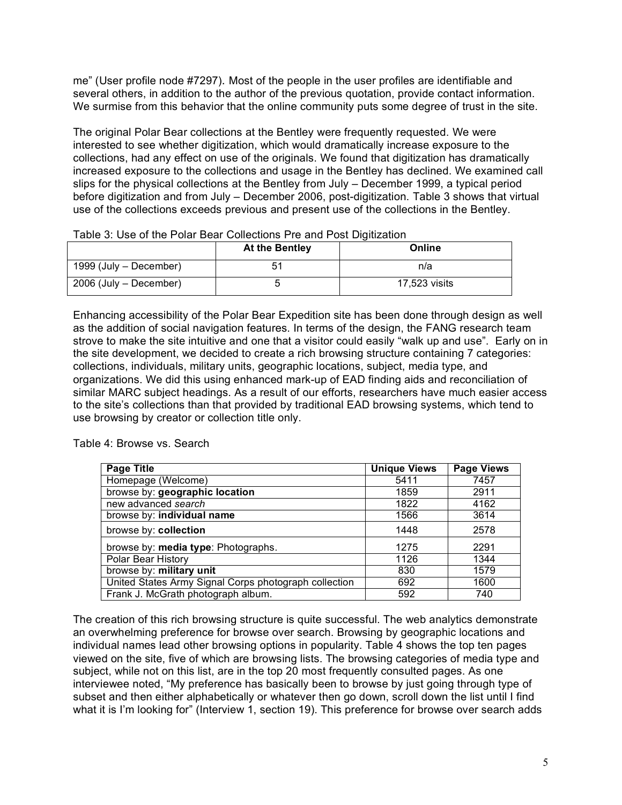me" (User profile node #7297). Most of the people in the user profiles are identifiable and several others, in addition to the author of the previous quotation, provide contact information. We surmise from this behavior that the online community puts some degree of trust in the site.

The original Polar Bear collections at the Bentley were frequently requested. We were interested to see whether digitization, which would dramatically increase exposure to the collections, had any effect on use of the originals. We found that digitization has dramatically increased exposure to the collections and usage in the Bentley has declined. We examined call slips for the physical collections at the Bentley from July – December 1999, a typical period before digitization and from July – December 2006, post-digitization. Table 3 shows that virtual use of the collections exceeds previous and present use of the collections in the Bentley.

|                        | At the Bentley | Online        |
|------------------------|----------------|---------------|
| 1999 (July – December) |                | n/a           |
| 2006 (July – December) |                | 17.523 visits |

Table 3: Use of the Polar Bear Collections Pre and Post Digitization

Enhancing accessibility of the Polar Bear Expedition site has been done through design as well as the addition of social navigation features. In terms of the design, the FANG research team strove to make the site intuitive and one that a visitor could easily "walk up and use". Early on in the site development, we decided to create a rich browsing structure containing 7 categories: collections, individuals, military units, geographic locations, subject, media type, and organizations. We did this using enhanced mark-up of EAD finding aids and reconciliation of similar MARC subject headings. As a result of our efforts, researchers have much easier access to the site's collections than that provided by traditional EAD browsing systems, which tend to use browsing by creator or collection title only.

Table 4: Browse vs. Search

| <b>Page Title</b>                                     | <b>Unique Views</b> | <b>Page Views</b> |
|-------------------------------------------------------|---------------------|-------------------|
| Homepage (Welcome)                                    | 5411                | 7457              |
| browse by: geographic location                        | 1859                | 2911              |
| new advanced search                                   | 1822                | 4162              |
| browse by: individual name                            | 1566                | 3614              |
| browse by: collection                                 | 1448                | 2578              |
| browse by: media type: Photographs.                   | 1275                | 2291              |
| Polar Bear History                                    | 1126                | 1344              |
| browse by: military unit                              | 830                 | 1579              |
| United States Army Signal Corps photograph collection | 692                 | 1600              |
| Frank J. McGrath photograph album.                    | 592                 | 740               |

The creation of this rich browsing structure is quite successful. The web analytics demonstrate an overwhelming preference for browse over search. Browsing by geographic locations and individual names lead other browsing options in popularity. Table 4 shows the top ten pages viewed on the site, five of which are browsing lists. The browsing categories of media type and subject, while not on this list, are in the top 20 most frequently consulted pages. As one interviewee noted, "My preference has basically been to browse by just going through type of subset and then either alphabetically or whatever then go down, scroll down the list until I find what it is I'm looking for" (Interview 1, section 19). This preference for browse over search adds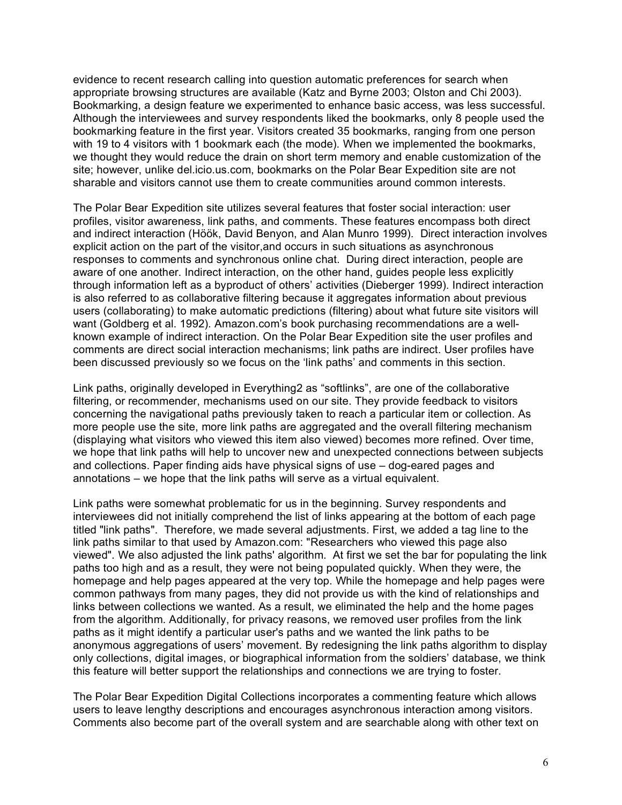evidence to recent research calling into question automatic preferences for search when appropriate browsing structures are available (Katz and Byrne 2003; Olston and Chi 2003). Bookmarking, a design feature we experimented to enhance basic access, was less successful. Although the interviewees and survey respondents liked the bookmarks, only 8 people used the bookmarking feature in the first year. Visitors created 35 bookmarks, ranging from one person with 19 to 4 visitors with 1 bookmark each (the mode). When we implemented the bookmarks, we thought they would reduce the drain on short term memory and enable customization of the site; however, unlike del.icio.us.com, bookmarks on the Polar Bear Expedition site are not sharable and visitors cannot use them to create communities around common interests.

The Polar Bear Expedition site utilizes several features that foster social interaction: user profiles, visitor awareness, link paths, and comments. These features encompass both direct and indirect interaction (Höök, David Benyon, and Alan Munro 1999). Direct interaction involves explicit action on the part of the visitor,and occurs in such situations as asynchronous responses to comments and synchronous online chat. During direct interaction, people are aware of one another. Indirect interaction, on the other hand, guides people less explicitly through information left as a byproduct of others' activities (Dieberger 1999). Indirect interaction is also referred to as collaborative filtering because it aggregates information about previous users (collaborating) to make automatic predictions (filtering) about what future site visitors will want (Goldberg et al. 1992). Amazon.com's book purchasing recommendations are a wellknown example of indirect interaction. On the Polar Bear Expedition site the user profiles and comments are direct social interaction mechanisms; link paths are indirect. User profiles have been discussed previously so we focus on the 'link paths' and comments in this section.

Link paths, originally developed in Everything2 as "softlinks", are one of the collaborative filtering, or recommender, mechanisms used on our site. They provide feedback to visitors concerning the navigational paths previously taken to reach a particular item or collection. As more people use the site, more link paths are aggregated and the overall filtering mechanism (displaying what visitors who viewed this item also viewed) becomes more refined. Over time, we hope that link paths will help to uncover new and unexpected connections between subjects and collections. Paper finding aids have physical signs of use – dog-eared pages and annotations – we hope that the link paths will serve as a virtual equivalent.

Link paths were somewhat problematic for us in the beginning. Survey respondents and interviewees did not initially comprehend the list of links appearing at the bottom of each page titled "link paths". Therefore, we made several adjustments. First, we added a tag line to the link paths similar to that used by Amazon.com: "Researchers who viewed this page also viewed". We also adjusted the link paths' algorithm. At first we set the bar for populating the link paths too high and as a result, they were not being populated quickly. When they were, the homepage and help pages appeared at the very top. While the homepage and help pages were common pathways from many pages, they did not provide us with the kind of relationships and links between collections we wanted. As a result, we eliminated the help and the home pages from the algorithm. Additionally, for privacy reasons, we removed user profiles from the link paths as it might identify a particular user's paths and we wanted the link paths to be anonymous aggregations of users' movement. By redesigning the link paths algorithm to display only collections, digital images, or biographical information from the soldiers' database, we think this feature will better support the relationships and connections we are trying to foster.

The Polar Bear Expedition Digital Collections incorporates a commenting feature which allows users to leave lengthy descriptions and encourages asynchronous interaction among visitors. Comments also become part of the overall system and are searchable along with other text on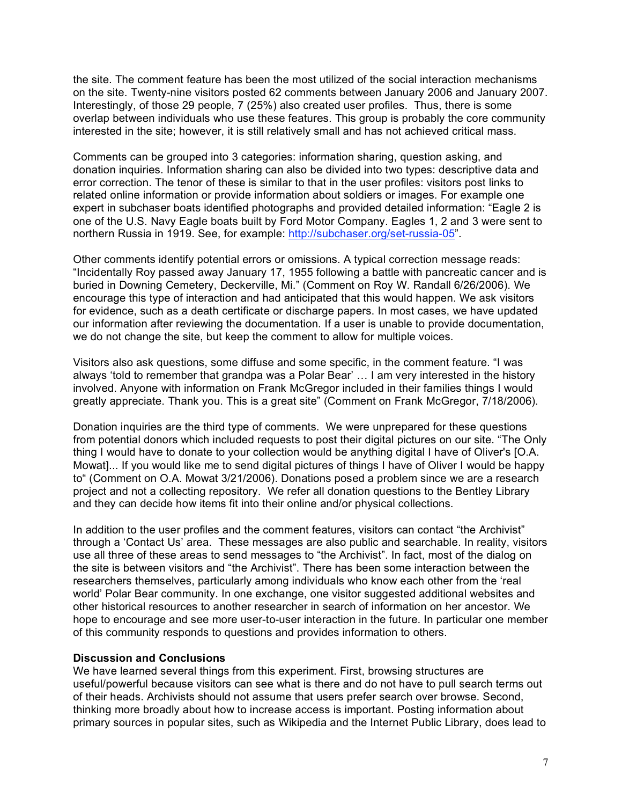the site. The comment feature has been the most utilized of the social interaction mechanisms on the site. Twenty-nine visitors posted 62 comments between January 2006 and January 2007. Interestingly, of those 29 people, 7 (25%) also created user profiles. Thus, there is some overlap between individuals who use these features. This group is probably the core community interested in the site; however, it is still relatively small and has not achieved critical mass.

Comments can be grouped into 3 categories: information sharing, question asking, and donation inquiries. Information sharing can also be divided into two types: descriptive data and error correction. The tenor of these is similar to that in the user profiles: visitors post links to related online information or provide information about soldiers or images. For example one expert in subchaser boats identified photographs and provided detailed information: "Eagle 2 is one of the U.S. Navy Eagle boats built by Ford Motor Company. Eagles 1, 2 and 3 were sent to northern Russia in 1919. See, for example: http://subchaser.org/set-russia-05".

Other comments identify potential errors or omissions. A typical correction message reads: "Incidentally Roy passed away January 17, 1955 following a battle with pancreatic cancer and is buried in Downing Cemetery, Deckerville, Mi." (Comment on Roy W. Randall 6/26/2006). We encourage this type of interaction and had anticipated that this would happen. We ask visitors for evidence, such as a death certificate or discharge papers. In most cases, we have updated our information after reviewing the documentation. If a user is unable to provide documentation, we do not change the site, but keep the comment to allow for multiple voices.

Visitors also ask questions, some diffuse and some specific, in the comment feature. "I was always 'told to remember that grandpa was a Polar Bear' … I am very interested in the history involved. Anyone with information on Frank McGregor included in their families things I would greatly appreciate. Thank you. This is a great site" (Comment on Frank McGregor, 7/18/2006).

Donation inquiries are the third type of comments. We were unprepared for these questions from potential donors which included requests to post their digital pictures on our site. "The Only thing I would have to donate to your collection would be anything digital I have of Oliver's [O.A. Mowat]... If you would like me to send digital pictures of things I have of Oliver I would be happy to" (Comment on O.A. Mowat 3/21/2006). Donations posed a problem since we are a research project and not a collecting repository. We refer all donation questions to the Bentley Library and they can decide how items fit into their online and/or physical collections.

In addition to the user profiles and the comment features, visitors can contact "the Archivist" through a 'Contact Us' area. These messages are also public and searchable. In reality, visitors use all three of these areas to send messages to "the Archivist". In fact, most of the dialog on the site is between visitors and "the Archivist". There has been some interaction between the researchers themselves, particularly among individuals who know each other from the 'real world' Polar Bear community. In one exchange, one visitor suggested additional websites and other historical resources to another researcher in search of information on her ancestor. We hope to encourage and see more user-to-user interaction in the future. In particular one member of this community responds to questions and provides information to others.

### **Discussion and Conclusions**

We have learned several things from this experiment. First, browsing structures are useful/powerful because visitors can see what is there and do not have to pull search terms out of their heads. Archivists should not assume that users prefer search over browse. Second, thinking more broadly about how to increase access is important. Posting information about primary sources in popular sites, such as Wikipedia and the Internet Public Library, does lead to